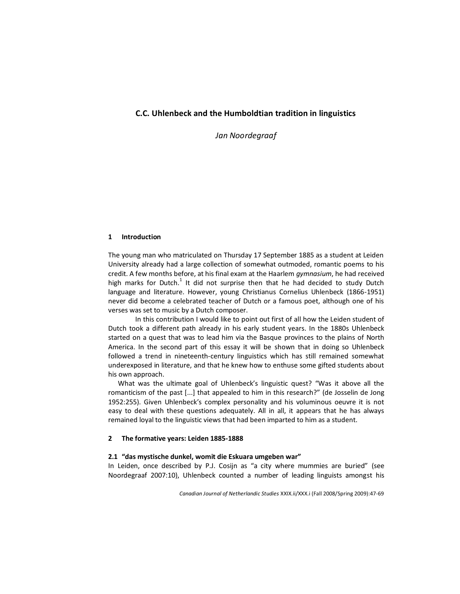# **C.C. Uhlenbeck and the Humboldtian tradition in linguistics**

*Jan Noordegraaf*

## **1 Introduction**

The young man who matriculated on Thursday 17 September 1885 as a student at Leiden University already had a large collection of somewhat outmoded, romantic poems to his credit. A few months before, at his final exam at the Haarlem *gymnasium*, he had received high marks for Dutch.<sup>1</sup> It did not surprise then that he had decided to study Dutch language and literature. However, young Christianus Cornelius Uhlenbeck (1866-1951) never did become a celebrated teacher of Dutch or a famous poet, although one of his verses was set to music by a Dutch composer.

In this contribution I would like to point out first of all how the Leiden student of Dutch took a different path already in his early student years. In the 1880s Uhlenbeck started on a quest that was to lead him via the Basque provinces to the plains of North America. In the second part of this essay it will be shown that in doing so Uhlenbeck followed a trend in nineteenth-century linguistics which has still remained somewhat underexposed in literature, and that he knew how to enthuse some gifted students about his own approach.

What was the ultimate goal of Uhlenbeck's linguistic quest? "Was it above all the romanticism of the past [...] that appealed to him in this research?" (de Josselin de Jong 1952:255). Given Uhlenbeck's complex personality and his voluminous oeuvre it is not easy to deal with these questions adequately. All in all, it appears that he has always remained loyal to the linguistic views that had been imparted to him as a student.

## **2 The formative years: Leiden 1885-1888**

## **2.1 "das mystische dunkel, womit die Eskuara umgeben war"**

In Leiden, once described by P.J. Cosijn as "a city where mummies are buried" (see Noordegraaf 2007:10), Uhlenbeck counted a number of leading linguists amongst his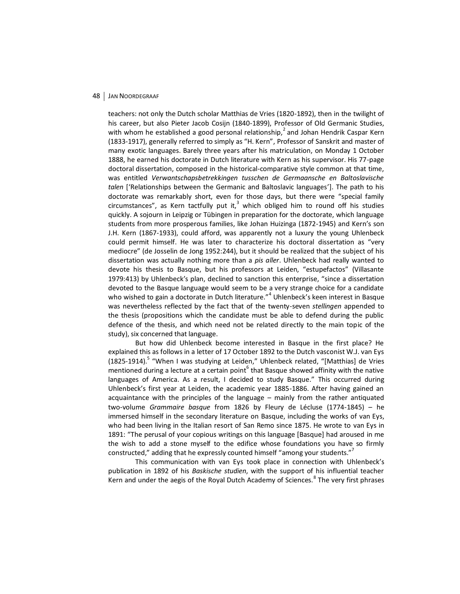teachers: not only the Dutch scholar Matthias de Vries (1820-1892), then in the twilight of his career, but also Pieter Jacob Cosijn (1840-1899), Professor of Old Germanic Studies, with whom he established a good personal relationship,<sup>2</sup> and Johan Hendrik Caspar Kern (1833-1917), generally referred to simply as "H. Kern", Professor of Sanskrit and master of many exotic languages. Barely three years after his matriculation, on Monday 1 October 1888, he earned his doctorate in Dutch literature with Kern as his supervisor. His 77-page doctoral dissertation, composed in the historical-comparative style common at that time, was entitled *Verwantschapsbetrekkingen tusschen de Germaansche en Baltoslavische talen* ['Relationships between the Germanic and Baltoslavic languages']. The path to his doctorate was remarkably short, even for those days, but there were "special family circumstances", as Kern tactfully put it, $3$  which obliged him to round off his studies quickly. A sojourn in Leipzig or Tübingen in preparation for the doctorate, which language students from more prosperous families, like Johan Huizinga (1872-1945) and Kern's son J.H. Kern (1867-1933), could afford, was apparently not a luxury the young Uhlenbeck could permit himself. He was later to characterize his doctoral dissertation as "very mediocre" (de Josselin de Jong 1952:244), but it should be realized that the subject of his dissertation was actually nothing more than a *pis aller*. Uhlenbeck had really wanted to devote his thesis to Basque, but his professors at Leiden, "estupefactos" (Villasante 1979:413) by Uhlenbeck's plan, declined to sanction this enterprise, "since a dissertation devoted to the Basque language would seem to be a very strange choice for a candidate who wished to gain a doctorate in Dutch literature."<sup>4</sup> Uhlenbeck's keen interest in Basque was nevertheless reflected by the fact that of the twenty-seven *stellingen* appended to the thesis (propositions which the candidate must be able to defend during the public defence of the thesis, and which need not be related directly to the main topic of the study), six concerned that language.

But how did Uhlenbeck become interested in Basque in the first place? He explained this as follows in a letter of 17 October 1892 to the Dutch vasconist W.J. van Eys (1825-1914).<sup>5</sup> "When I was studying at Leiden," Uhlenbeck related, "[Matthias] de Vries mentioned during a lecture at a certain point<sup>6</sup> that Basque showed affinity with the native languages of America. As a result, I decided to study Basque." This occurred during Uhlenbeck's first year at Leiden, the academic year 1885-1886. After having gained an acquaintance with the principles of the language – mainly from the rather antiquated two-volume *Grammaire basque* from 1826 by Fleury de Lécluse (1774-1845) – he immersed himself in the secondary literature on Basque, including the works of van Eys, who had been living in the Italian resort of San Remo since 1875. He wrote to van Eys in 1891: "The perusal of your copious writings on this language [Basque] had aroused in me the wish to add a stone myself to the edifice whose foundations you have so firmly constructed," adding that he expressly counted himself "among your students."<sup>7</sup>

This communication with van Eys took place in connection with Uhlenbeck's publication in 1892 of his *Baskische studien*, with the support of his influential teacher Kern and under the aegis of the Royal Dutch Academy of Sciences.<sup>8</sup> The very first phrases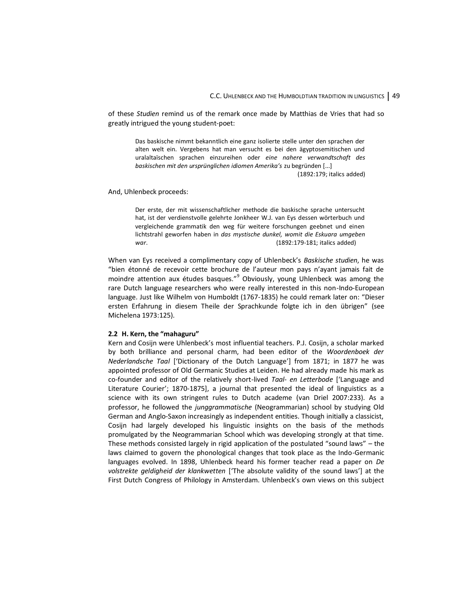of these *Studien* remind us of the remark once made by Matthias de Vries that had so greatly intrigued the young student-poet:

Das baskische nimmt bekanntlich eine ganz isolierte stelle unter den sprachen der alten welt ein. Vergebens hat man versucht es bei den ägyptosemitischen und uralaltaïschen sprachen einzureihen oder *eine nahere verwandtschaft des baskischen mit den ursprünglichen idiomen Amerika's* zu begründen [...]

(1892:179; italics added)

And, Uhlenbeck proceeds:

Der erste, der mit wissenschaftlicher methode die baskische sprache untersucht hat, ist der verdienstvolle gelehrte Jonkheer W.J. van Eys dessen wörterbuch und vergleichende grammatik den weg für weitere forschungen geebnet und einen lichtstrahl geworfen haben in *das mystische dunkel, womit die Eskuara umgeben war*. (1892:179-181; italics added)

When van Eys received a complimentary copy of Uhlenbeck's *Baskische studien*, he was "bien étonné de recevoir cette brochure de l'auteur mon pays n'ayant jamais fait de moindre attention aux études basques."<sup>9</sup> Obviously, young Uhlenbeck was among the rare Dutch language researchers who were really interested in this non-Indo-European language. Just like Wilhelm von Humboldt (1767-1835) he could remark later on: "Dieser ersten Erfahrung in diesem Theile der Sprachkunde folgte ich in den übrigen" (see Michelena 1973:125).

#### **2.2 H. Kern, the "mahaguru"**

Kern and Cosijn were Uhlenbeck's most influential teachers. P.J. Cosijn, a scholar marked by both brilliance and personal charm, had been editor of the *Woordenboek der Nederlandsche Taal* ['Dictionary of the Dutch Language'] from 1871; in 1877 he was appointed professor of Old Germanic Studies at Leiden. He had already made his mark as co-founder and editor of the relatively short-lived *Taal- en Letterbode* ['Language and Literature Courier'; 1870-1875], a journal that presented the ideal of linguistics as a science with its own stringent rules to Dutch academe (van Driel 2007:233). As a professor, he followed the *junggrammatische* (Neogrammarian) school by studying Old German and Anglo-Saxon increasingly as independent entities. Though initially a classicist, Cosijn had largely developed his linguistic insights on the basis of the methods promulgated by the Neogrammarian School which was developing strongly at that time. These methods consisted largely in rigid application of the postulated "sound laws" – the laws claimed to govern the phonological changes that took place as the Indo-Germanic languages evolved. In 1898, Uhlenbeck heard his former teacher read a paper on *De volstrekte geldigheid der klankwetten* ['The absolute validity of the sound laws'] at the First Dutch Congress of Philology in Amsterdam. Uhlenbeck's own views on this subject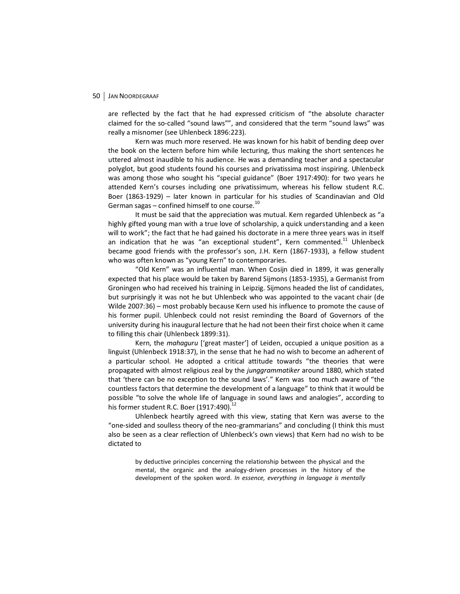are reflected by the fact that he had expressed criticism of "the absolute character claimed for the so-called "sound laws"", and considered that the term "sound laws" was really a misnomer (see Uhlenbeck 1896:223).

Kern was much more reserved. He was known for his habit of bending deep over the book on the lectern before him while lecturing, thus making the short sentences he uttered almost inaudible to his audience. He was a demanding teacher and a spectacular polyglot, but good students found his courses and privatissima most inspiring. Uhlenbeck was among those who sought his "special guidance" (Boer 1917:490): for two years he attended Kern's courses including one privatissimum, whereas his fellow student R.C. Boer (1863-1929) – later known in particular for his studies of Scandinavian and Old German sagas  $-$  confined himself to one course.<sup>10</sup>

It must be said that the appreciation was mutual. Kern regarded Uhlenbeck as "a highly gifted young man with a true love of scholarship, a quick understanding and a keen will to work"; the fact that he had gained his doctorate in a mere three years was in itself an indication that he was "an exceptional student", Kern commented.<sup>11</sup> Uhlenbeck became good friends with the professor's son, J.H. Kern (1867-1933), a fellow student who was often known as "young Kern" to contemporaries.

"Old Kern" was an influential man. When Cosijn died in 1899, it was generally expected that his place would be taken by Barend Sijmons (1853-1935), a Germanist from Groningen who had received his training in Leipzig. Sijmons headed the list of candidates, but surprisingly it was not he but Uhlenbeck who was appointed to the vacant chair (de Wilde 2007:36) – most probably because Kern used his influence to promote the cause of his former pupil. Uhlenbeck could not resist reminding the Board of Governors of the university during his inaugural lecture that he had not been their first choice when it came to filling this chair (Uhlenbeck 1899:31).

Kern, the *mahaguru* ['great master'] of Leiden, occupied a unique position as a linguist (Uhlenbeck 1918:37), in the sense that he had no wish to become an adherent of a particular school. He adopted a critical attitude towards "the theories that were propagated with almost religious zeal by the *junggrammatiker* around 1880, which stated that 'there can be no exception to the sound laws'." Kern was too much aware of "the countless factors that determine the development of a language" to think that it would be possible "to solve the whole life of language in sound laws and analogies", according to his former student R.C. Boer (1917:490).<sup>12</sup>

Uhlenbeck heartily agreed with this view, stating that Kern was averse to the "one-sided and soulless theory of the neo-grammarians" and concluding (I think this must also be seen as a clear reflection of Uhlenbeck's own views) that Kern had no wish to be dictated to

by deductive principles concerning the relationship between the physical and the mental, the organic and the analogy-driven processes in the history of the development of the spoken word. *In essence, everything in language is mentally*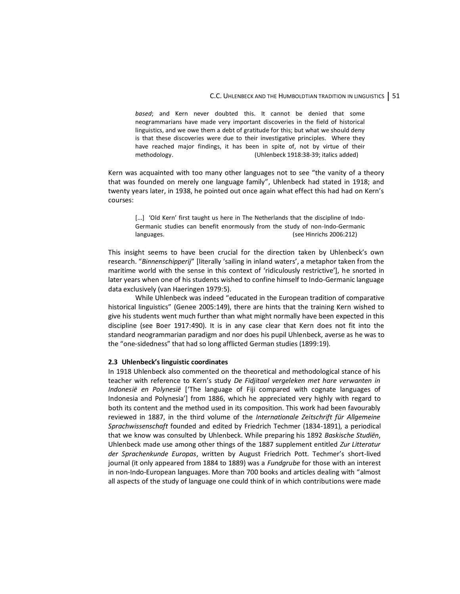*based*; and Kern never doubted this. It cannot be denied that some neogrammarians have made very important discoveries in the field of historical linguistics, and we owe them a debt of gratitude for this; but what we should deny is that these discoveries were due to their investigative principles. Where they have reached major findings, it has been in spite of, not by virtue of their methodology. (Uhlenbeck 1918:38-39; italics added)

Kern was acquainted with too many other languages not to see "the vanity of a theory that was founded on merely one language family", Uhlenbeck had stated in 1918; and twenty years later, in 1938, he pointed out once again what effect this had had on Kern's courses:

[...] 'Old Kern' first taught us here in The Netherlands that the discipline of Indo-Germanic studies can benefit enormously from the study of non-Indo-Germanic languages. (see Hinrichs 2006:212)

This insight seems to have been crucial for the direction taken by Uhlenbeck's own research. "Binnenschipperij" [literally 'sailing in inland waters', a metaphor taken from the maritime world with the sense in this context of 'ridiculously restrictive'], he snorted in later years when one of his students wished to confine himself to Indo-Germanic language data exclusively (van Haeringen 1979:5).

While Uhlenbeck was indeed "educated in the European tradition of comparative historical linguistics" (Genee 2005:149), there are hints that the training Kern wished to give his students went much further than what might normally have been expected in this discipline (see Boer 1917:490). It is in any case clear that Kern does not fit into the standard neogrammarian paradigm and nor does his pupil Uhlenbeck, averse as he was to the "one-sidedness" that had so long afflicted German studies (1899:19).

## **2.3 Uhlenbeck's linguistic coordinates**

In 1918 Uhlenbeck also commented on the theoretical and methodological stance of his teacher with reference to Kern's study *De Fidjitaal vergeleken met hare verwanten in Indonesië en Polynesië* ['The language of Fiji compared with cognate languages of Indonesia and Polynesia'] from 1886, which he appreciated very highly with regard to both its content and the method used in its composition. This work had been favourably reviewed in 1887, in the third volume of the *Internationale Zeitschrift für Allgemeine Sprachwissenschaft* founded and edited by Friedrich Techmer (1834-1891), a periodical that we know was consulted by Uhlenbeck. While preparing his 1892 *Baskische Studiën*, Uhlenbeck made use among other things of the 1887 supplement entitled *Zur Litteratur der Sprachenkunde Europas*, written by August Friedrich Pott. Techmer's short-lived journal (it only appeared from 1884 to 1889) was a *Fundgrube* for those with an interest in non-Indo-European languages. More than 700 books and articles dealing with "almost all aspects of the study of language one could think of in which contributions were made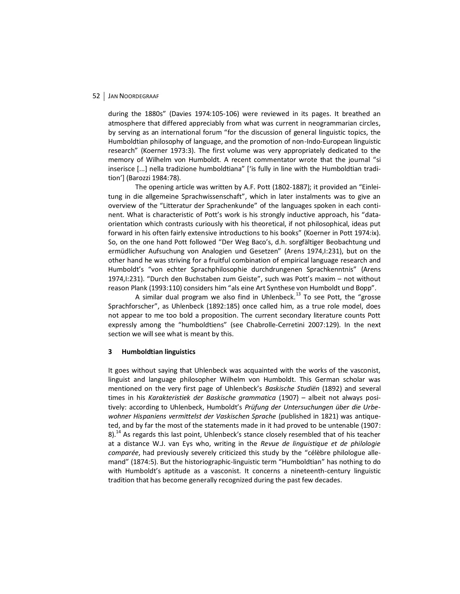during the 1880s" (Davies 1974:105-106) were reviewed in its pages. It breathed an atmosphere that differed appreciably from what was current in neogrammarian circles, by serving as an international forum "for the discussion of general linguistic topics, the Humboldtian philosophy of language, and the promotion of non-Indo-European linguistic research" (Koerner 1973:3). The first volume was very appropriately dedicated to the memory of Wilhelm von Humboldt. A recent commentator wrote that the journal "si inserisce [...] nella tradizione humboldtiana" ['is fully in line with the Humboldtian tradition'] (Barozzi 1984:78).

The opening article was written by A.F. Pott (1802-1887); it provided an "Einleitung in die allgemeine Sprachwissenschaft", which in later instalments was to give an overview of the "Litteratur der Sprachenkunde" of the languages spoken in each continent. What is characteristic of Pott's work is his strongly inductive approach, his "dataorientation which contrasts curiously with his theoretical, if not philosophical, ideas put forward in his often fairly extensive introductions to his books" (Koerner in Pott 1974:ix). So, on the one hand Pott followed "Der Weg Baco's, d.h. sorgfältiger Beobachtung und ermüdlicher Aufsuchung von Analogien und Gesetzen" (Arens 1974,I:231), but on the other hand he was striving for a fruitful combination of empirical language research and Humboldt's "von echter Sprachphilosophie durchdrungenen Sprachkenntnis" (Arens 1974,I:231). "Durch den Buchstaben zum Geiste", such was Pott's maxim – not without reason Plank (1993:110) considers him "als eine Art Synthese von Humboldt und Bopp".

A similar dual program we also find in Uhlenbeck.<sup>13</sup> To see Pott, the "grosse Sprachforscher", as Uhlenbeck (1892:185) once called him, as a true role model, does not appear to me too bold a proposition. The current secondary literature counts Pott expressly among the "humboldtiens" (see Chabrolle-Cerretini 2007:129). In the next section we will see what is meant by this.

#### **3 Humboldtian linguistics**

It goes without saying that Uhlenbeck was acquainted with the works of the vasconist, linguist and language philosopher Wilhelm von Humboldt. This German scholar was mentioned on the very first page of Uhlenbeck's *Baskische Studiën* (1892) and several times in his *Karakteristiek der Baskische grammatica* (1907) – albeit not always positively: according to Uhlenbeck, Humboldt's *Prüfung der Untersuchungen über die Urbewohner Hispaniens vermittelst der Vaskischen Sprache* (published in 1821) was antiqueted, and by far the most of the statements made in it had proved to be untenable (1907: 8).<sup>14</sup> As regards this last point, Uhlenbeck's stance closely resembled that of his teacher at a distance W.J. van Eys who, writing in the *Revue de linguistique et de philologie comparée*, had previously severely criticized this study by the "célèbre philologue allemand" (1874:5). But the historiographic-linguistic term "Humboldtian" has nothing to do with Humboldt's aptitude as a vasconist. It concerns a nineteenth-century linguistic tradition that has become generally recognized during the past few decades.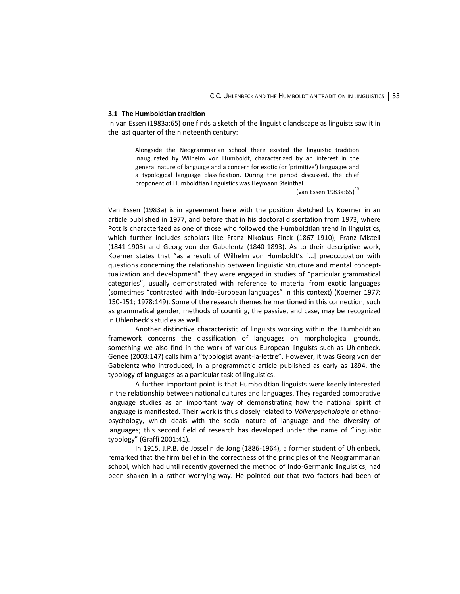#### **3.1 The Humboldtian tradition**

In van Essen (1983a:65) one finds a sketch of the linguistic landscape as linguists saw it in the last quarter of the nineteenth century:

Alongside the Neogrammarian school there existed the linguistic tradition inaugurated by Wilhelm von Humboldt, characterized by an interest in the general nature of language and a concern for exotic (or 'primitive') languages and a typological language classification. During the period discussed, the chief proponent of Humboldtian linguistics was Heymann Steinthal.

(van Essen 1983a:65)<sup>15</sup>

Van Essen (1983a) is in agreement here with the position sketched by Koerner in an article published in 1977, and before that in his doctoral dissertation from 1973, where Pott is characterized as one of those who followed the Humboldtian trend in linguistics, which further includes scholars like Franz Nikolaus Finck (1867-1910), Franz Misteli (1841-1903) and Georg von der Gabelentz (1840-1893). As to their descriptive work, Koerner states that "as a result of Wilhelm von Humboldt's [...] preoccupation with questions concerning the relationship between linguistic structure and mental concepttualization and development" they were engaged in studies of "particular grammatical categories", usually demonstrated with reference to material from exotic languages (sometimes "contrasted with Indo-European languages" in this context) (Koerner 1977: 150-151; 1978:149). Some of the research themes he mentioned in this connection, such as grammatical gender, methods of counting, the passive, and case, may be recognized in Uhlenbeck's studies as well.

Another distinctive characteristic of linguists working within the Humboldtian framework concerns the classification of languages on morphological grounds, something we also find in the work of various European linguists such as Uhlenbeck. Genee (2003:147) calls him a "typologist avant-la-lettre". However, it was Georg von der Gabelentz who introduced, in a programmatic article published as early as 1894, the typology of languages as a particular task of linguistics.

A further important point is that Humboldtian linguists were keenly interested in the relationship between national cultures and languages. They regarded comparative language studies as an important way of demonstrating how the national spirit of language is manifested. Their work is thus closely related to *Völkerpsychologie* or ethnopsychology, which deals with the social nature of language and the diversity of languages; this second field of research has developed under the name of "linguistic typology" (Graffi 2001:41).

In 1915, J.P.B. de Josselin de Jong (1886-1964), a former student of Uhlenbeck, remarked that the firm belief in the correctness of the principles of the Neogrammarian school, which had until recently governed the method of Indo-Germanic linguistics, had been shaken in a rather worrying way. He pointed out that two factors had been of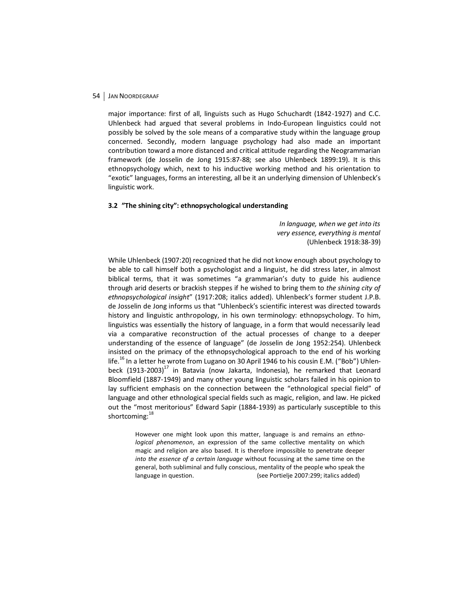major importance: first of all, linguists such as Hugo Schuchardt (1842-1927) and C.C. Uhlenbeck had argued that several problems in Indo-European linguistics could not possibly be solved by the sole means of a comparative study within the language group concerned. Secondly, modern language psychology had also made an important contribution toward a more distanced and critical attitude regarding the Neogrammarian framework (de Josselin de Jong 1915:87-88; see also Uhlenbeck 1899:19). It is this ethnopsychology which, next to his inductive working method and his orientation to "exotic" languages, forms an interesting, all be it an underlying dimension of Uhlenbeck's linguistic work.

## **3.2 "The shining city": ethnopsychological understanding**

*In language, when we get into its very essence, everything is mental* (Uhlenbeck 1918:38-39)

While Uhlenbeck (1907:20) recognized that he did not know enough about psychology to be able to call himself both a psychologist and a linguist, he did stress later, in almost biblical terms, that it was sometimes "a grammarian's duty to guide his audience through arid deserts or brackish steppes if he wished to bring them to *the shining city of ethnopsychological insight*" (1917:208; italics added). Uhlenbeck's former student J.P.B. de Josselin de Jong informs us that "Uhlenbeck's scientific interest was directed towards history and linguistic anthropology, in his own terminology: ethnopsychology. To him, linguistics was essentially the history of language, in a form that would necessarily lead via a comparative reconstruction of the actual processes of change to a deeper understanding of the essence of language" (de Josselin de Jong 1952:254). Uhlenbeck insisted on the primacy of the ethnopsychological approach to the end of his working life.<sup>16</sup> In a letter he wrote from Lugano on 30 April 1946 to his cousin E.M. ("Bob") Uhlenbeck  $(1913-2003)^{17}$  in Batavia (now Jakarta, Indonesia), he remarked that Leonard Bloomfield (1887-1949) and many other young linguistic scholars failed in his opinion to lay sufficient emphasis on the connection between the "ethnological special field" of language and other ethnological special fields such as magic, religion, and law. He picked out the "most meritorious" Edward Sapir (1884-1939) as particularly susceptible to this shortcoming:<sup>18</sup>

However one might look upon this matter, language is and remains an *ethnological phenomenon*, an expression of the same collective mentality on which magic and religion are also based. It is therefore impossible to penetrate deeper *into the essence of a certain language* without focussing at the same time on the general, both subliminal and fully conscious, mentality of the people who speak the language in question. (see Portielje 2007:299; italics added)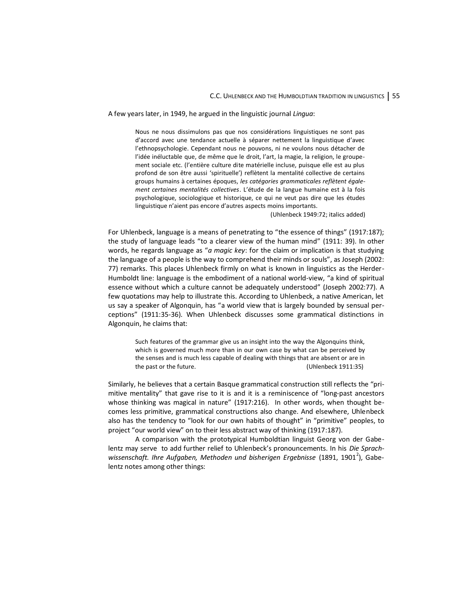A few years later, in 1949, he argued in the linguistic journal *Lingua*:

Nous ne nous dissimulons pas que nos considérations linguistiques ne sont pas d'accord avec une tendance actuelle à séparer nettement la linguistique d'avec l'ethnopsychologie. Cependant nous ne pouvons, ni ne voulons nous détacher de l'idée inéluctable que, de même que le droit, l'art, la magie, la religion, le groupement sociale etc. (l'entière culture dite matérielle incluse, puisque elle est au plus profond de son être aussi 'spirituelle') reflètent la mentalité collective de certains groups humains à certaines époques, *les catégories grammaticales reflètent également certaines mentalités collectives*. L'étude de la langue humaine est à la fois psychologique, sociologique et historique, ce qui ne veut pas dire que les études linguistique n'aient pas encore d'autres aspects moins importants.

(Uhlenbeck 1949:72; italics added)

For Uhlenbeck, language is a means of penetrating to "the essence of things" (1917:187); the study of language leads "to a clearer view of the human mind" (1911: 39). In other words, he regards language as "*a magic key*: for the claim or implication is that studying the language of a people is the way to comprehend their minds or souls", as Joseph (2002: 77) remarks. This places Uhlenbeck firmly on what is known in linguistics as the Herder-Humboldt line: language is the embodiment of a national world-view, "a kind of spiritual essence without which a culture cannot be adequately understood" (Joseph 2002:77). A few quotations may help to illustrate this. According to Uhlenbeck, a native American, let us say a speaker of Algonquin, has "a world view that is largely bounded by sensual perceptions" (1911:35-36). When Uhlenbeck discusses some grammatical distinctions in Algonquin, he claims that:

Such features of the grammar give us an insight into the way the Algonquins think, which is governed much more than in our own case by what can be perceived by the senses and is much less capable of dealing with things that are absent or are in the past or the future. (Uhlenbeck 1911:35)

Similarly, he believes that a certain Basque grammatical construction still reflects the "primitive mentality" that gave rise to it is and it is a reminiscence of "long-past ancestors whose thinking was magical in nature" (1917:216). In other words, when thought becomes less primitive, grammatical constructions also change. And elsewhere, Uhlenbeck also has the tendency to "look for our own habits of thought" in "primitive" peoples, to project "our world view" on to their less abstract way of thinking (1917:187).

A comparison with the prototypical Humboldtian linguist Georg von der Gabelentz may serve to add further relief to Uhlenbeck's pronouncements. In his *Die Sprach*wissenschaft. Ihre Aufgaben, Methoden und bisherigen Ergebnisse (1891, 1901<sup>2</sup>), Gabelentz notes among other things: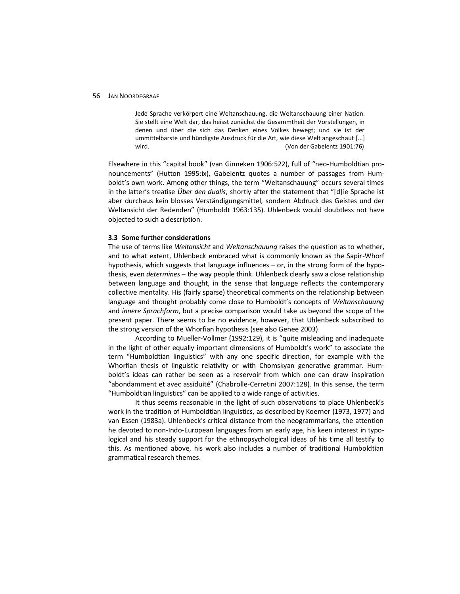Jede Sprache verkörpert eine Weltanschauung, die Weltanschauung einer Nation. Sie stellt eine Welt dar, das heisst zunächst die Gesammtheit der Vorstellungen, in denen und über die sich das Denken eines Volkes bewegt; und sie ist der ummittelbarste und bündigste Ausdruck für die Art, wie diese Welt angeschaut [...] wird. (Von der Gabelentz 1901:76)

Elsewhere in this "capital book" (van Ginneken 1906:522), full of "neo-Humboldtian pronouncements" (Hutton 1995:ix), Gabelentz quotes a number of passages from Humboldt's own work. Among other things, the term "Weltanschauung" occurs several times in the latter's treatise *Über den dualis*, shortly after the statement that "[d]ie Sprache ist aber durchaus kein blosses Verständigungsmittel, sondern Abdruck des Geistes und der Weltansicht der Redenden" (Humboldt 1963:135). Uhlenbeck would doubtless not have objected to such a description.

### **3.3 Some further considerations**

The use of terms like *Weltansicht* and *Weltanschauung* raises the question as to whether, and to what extent, Uhlenbeck embraced what is commonly known as the Sapir-Whorf hypothesis, which suggests that language influences – or, in the strong form of the hypothesis, even *determines* – the way people think. Uhlenbeck clearly saw a close relationship between language and thought, in the sense that language reflects the contemporary collective mentality. His (fairly sparse) theoretical comments on the relationship between language and thought probably come close to Humboldt's concepts of *Weltanschauung* and *innere Sprachform*, but a precise comparison would take us beyond the scope of the present paper. There seems to be no evidence, however, that Uhlenbeck subscribed to the strong version of the Whorfian hypothesis (see also Genee 2003)

According to Mueller-Vollmer (1992:129), it is "quite misleading and inadequate in the light of other equally important dimensions of Humboldt's work" to associate the term "Humboldtian linguistics" with any one specific direction, for example with the Whorfian thesis of linguistic relativity or with Chomskyan generative grammar. Humboldt's ideas can rather be seen as a reservoir from which one can draw inspiration "abondamment et avec assiduité" (Chabrolle-Cerretini 2007:128). In this sense, the term "Humboldtian linguistics" can be applied to a wide range of activities.

It thus seems reasonable in the light of such observations to place Uhlenbeck's work in the tradition of Humboldtian linguistics, as described by Koerner (1973, 1977) and van Essen (1983a). Uhlenbeck's critical distance from the neogrammarians, the attention he devoted to non-Indo-European languages from an early age, his keen interest in typological and his steady support for the ethnopsychological ideas of his time all testify to this. As mentioned above, his work also includes a number of traditional Humboldtian grammatical research themes.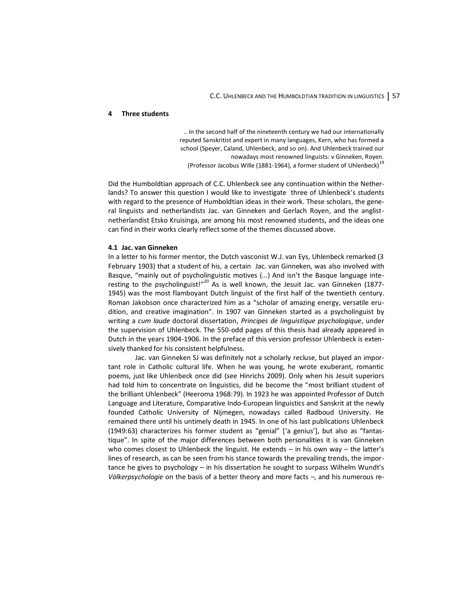#### **4 Three students**

.. in the second half of the nineteenth century we had our internationally reputed Sanskritist and expert in many languages, Kern, who has formed a school (Speyer, Caland, Uhlenbeck, and so on). And Uhlenbeck trained our nowadays most renowned linguists: v Ginneken, Royen. (Professor Jacobus Wille (1881-1964), a former student of Uhlenbeck)<sup>19</sup>

Did the Humboldtian approach of C.C. Uhlenbeck see any continuation within the Netherlands? To answer this question I would like to investigate three of Uhlenbeck's students with regard to the presence of Humboldtian ideas in their work. These scholars, the general linguists and netherlandists Jac. van Ginneken and Gerlach Royen, and the anglistnetherlandist Etsko Kruisinga, are among his most renowned students, and the ideas one can find in their works clearly reflect some of the themes discussed above.

#### **4.1 Jac. van Ginneken**

In a letter to his former mentor, the Dutch vasconist W.J. van Eys, Uhlenbeck remarked (3 February 1903) that a student of his, a certain Jac. van Ginneken, was also involved with Basque, "mainly out of psycholinguistic motives (...) And isn't the Basque language interesting to the psycholinguist!"<sup>20</sup> As is well known, the Jesuit Jac. van Ginneken (1877-1945) was the most flamboyant Dutch linguist of the first half of the twentieth century. Roman Jakobson once characterized him as a "scholar of amazing energy, versatile erudition, and creative imagination". In 1907 van Ginneken started as a psycholinguist by writing a *cum laude* doctoral dissertation, *Principes de linguistique psychologique*, under the supervision of Uhlenbeck. The 550-odd pages of this thesis had already appeared in Dutch in the years 1904-1906. In the preface of this version professor Uhlenbeck is extensively thanked for his consistent helpfulness.

Jac. van Ginneken SJ was definitely not a scholarly recluse, but played an important role in Catholic cultural life. When he was young, he wrote exuberant, romantic poems, just like Uhlenbeck once did (see Hinrichs 2009). Only when his Jesuit superiors had told him to concentrate on linguistics, did he become the "most brilliant student of the brilliant Uhlenbeck" (Heeroma 1968:79). In 1923 he was appointed Professor of Dutch Language and Literature, Comparative Indo-European linguistics and Sanskrit at the newly founded Catholic University of Nijmegen, nowadays called Radboud University. He remained there until his untimely death in 1945. In one of his last publications Uhlenbeck (1949:63) characterizes his former student as "genial" ['a genius'], but also as "fantastique". In spite of the major differences between both personalities it is van Ginneken who comes closest to Uhlenbeck the linguist. He extends – in his own way – the latter's lines of research, as can be seen from his stance towards the prevailing trends, the importance he gives to psychology – in his dissertation he sought to surpass Wilhelm Wundt's *Völkerpsychologie* on the basis of a better theory and more facts –, and his numerous re-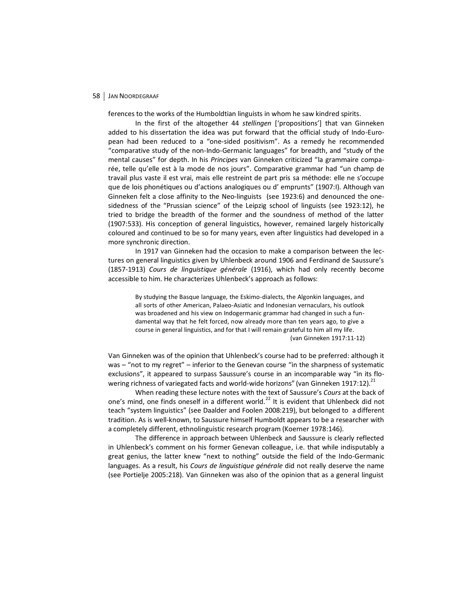ferences to the works of the Humboldtian linguists in whom he saw kindred spirits.

In the first of the altogether 44 *stellingen* ['propositions'] that van Ginneken added to his dissertation the idea was put forward that the official study of Indo-European had been reduced to a "one-sided positivism". As a remedy he recommended "comparative study of the non-Indo-Germanic languages" for breadth, and "study of the mental causes" for depth. In his *Principes* van Ginneken criticized "la grammaire comparée, telle qu'elle est à la mode de nos jours". Comparative grammar had "un champ de travail plus vaste il est vrai, mais elle restreint de part pris sa méthode: elle ne s'occupe que de lois phonétiques ou d'actions analogiques ou d' emprunts" (1907:I). Although van Ginneken felt a close affinity to the Neo-linguists (see 1923:6) and denounced the onesidedness of the "Prussian science" of the Leipzig school of linguists (see 1923:12), he tried to bridge the breadth of the former and the soundness of method of the latter (1907:533). His conception of general linguistics, however, remained largely historically coloured and continued to be so for many years, even after linguistics had developed in a more synchronic direction.

In 1917 van Ginneken had the occasion to make a comparison between the lectures on general linguistics given by Uhlenbeck around 1906 and Ferdinand de Saussure's (1857-1913) *Cours de linguistique générale* (1916), which had only recently become accessible to him. He characterizes Uhlenbeck's approach as follows:

By studying the Basque language, the Eskimo-dialects, the Algonkin languages, and all sorts of other American, Palaeo-Asiatic and Indonesian vernaculars, his outlook was broadened and his view on Indogermanic grammar had changed in such a fundamental way that he felt forced, now already more than ten years ago, to give a course in general linguistics, and for that I will remain grateful to him all my life. (van Ginneken 1917:11-12)

Van Ginneken was of the opinion that Uhlenbeck's course had to be preferred: although it was – "not to my regret" – inferior to the Genevan course "in the sharpness of systematic exclusions", it appeared to surpass Saussure's course in an incomparable way "in its flowering richness of variegated facts and world-wide horizons" (van Ginneken 1917:12).<sup>21</sup>

When reading these lecture notes with the text of Saussure's *Cours* at the back of one's mind, one finds oneself in a different world.<sup>22</sup> It is evident that Uhlenbeck did not teach "system linguistics" (see Daalder and Foolen 2008:219), but belonged to a different tradition. As is well-known, to Saussure himself Humboldt appears to be a researcher with a completely different, ethnolinguistic research program (Koerner 1978:146).

The difference in approach between Uhlenbeck and Saussure is clearly reflected in Uhlenbeck's comment on his former Genevan colleague, i.e. that while indisputably a great genius, the latter knew "next to nothing" outside the field of the Indo-Germanic languages. As a result, his *Cours de linguistique générale* did not really deserve the name (see Portielje 2005:218). Van Ginneken was also of the opinion that as a general linguist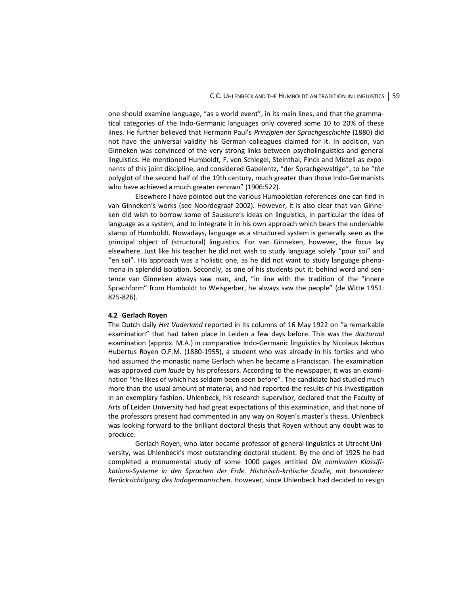one should examine language, "as a world event", in its main lines, and that the grammatical categories of the Indo-Germanic languages only covered some 10 to 20% of these lines. He further believed that Hermann Paul's *Prinzipien der Sprachgeschichte* (1880) did not have the universal validity his German colleagues claimed for it. In addition, van Ginneken was convinced of the very strong links between psycholinguistics and general linguistics. He mentioned Humboldt, F. von Schlegel, Steinthal, Finck and Misteli as exponents of this joint discipline, and considered Gabelentz, "der Sprachgewaltige", to be "*the* polyglot of the second half of the 19th century, much greater than those Indo-Germanists who have achieved a much greater renown" (1906:522).

Elsewhere I have pointed out the various Humboldtian references one can find in van Ginneken's works (see Noordegraaf 2002). However, it is also clear that van Ginneken did wish to borrow some of Saussure's ideas on linguistics, in particular the idea of language as a system, and to integrate it in his own approach which bears the undeniable stamp of Humboldt. Nowadays, language as a structured system is generally seen as the principal object of (structural) linguistics. For van Ginneken, however, the focus lay elsewhere. Just like his teacher he did not wish to study language solely "pour soi" and "en soi". His approach was a holistic one, as he did not want to study language phenomena in splendid isolation. Secondly, as one of his students put it: behind word and sentence van Ginneken always saw man, and, "in line with the tradition of the "innere Sprachform" from Humboldt to Weisgerber, he always saw the people" (de Witte 1951: 825-826).

#### **4.2 Gerlach Royen**

The Dutch daily *Het Vaderland* reported in its columns of 16 May 1922 on "a remarkable examination" that had taken place in Leiden a few days before. This was the *doctoraal* examination (approx. M.A.) in comparative Indo-Germanic linguistics by Nicolaus Jakobus Hubertus Royen O.F.M. (1880-1955), a student who was already in his forties and who had assumed the monastic name Gerlach when he became a Franciscan. The examination was approved *cum laude* by his professors. According to the newspaper, it was an examination "the likes of which has seldom been seen before". The candidate had studied much more than the usual amount of material, and had reported the results of his investigation in an exemplary fashion. Uhlenbeck, his research supervisor, declared that the Faculty of Arts of Leiden University had had great expectations of this examination, and that none of the professors present had commented in any way on Royen's master's thesis. Uhlenbeck was looking forward to the brilliant doctoral thesis that Royen without any doubt was to produce.

Gerlach Royen, who later became professor of general linguistics at Utrecht University, was Uhlenbeck's most outstanding doctoral student. By the end of 1925 he had completed a monumental study of some 1000 pages entitled *Die nominalen Klassifikations-Systeme in den Sprachen der Erde. Historisch-kritische Studie, mit besonderer Berücksichtigung des Indogermanischen*. However, since Uhlenbeck had decided to resign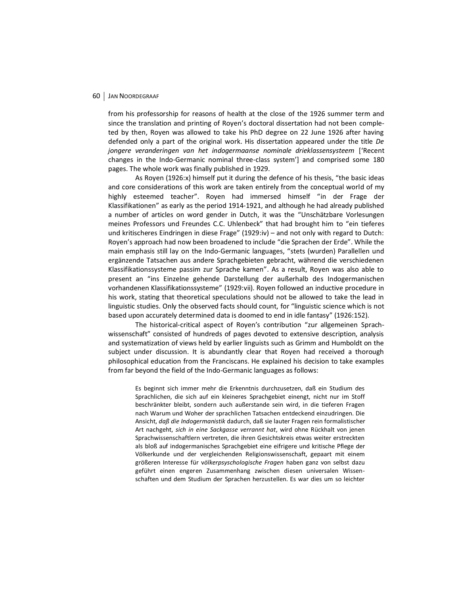from his professorship for reasons of health at the close of the 1926 summer term and since the translation and printing of Royen's doctoral dissertation had not been completed by then, Royen was allowed to take his PhD degree on 22 June 1926 after having defended only a part of the original work. His dissertation appeared under the title *De jongere veranderingen van het indogermaanse nominale drieklassensysteem* ['Recent changes in the Indo-Germanic nominal three-class system'] and comprised some 180 pages. The whole work was finally published in 1929.

As Royen (1926:x) himself put it during the defence of his thesis, "the basic ideas and core considerations of this work are taken entirely from the conceptual world of my highly esteemed teacher". Royen had immersed himself "in der Frage der Klassifikationen" as early as the period 1914-1921, and although he had already published a number of articles on word gender in Dutch, it was the "Unschätzbare Vorlesungen meines Professors und Freundes C.C. Uhlenbeck" that had brought him to "ein tieferes und kritischeres Eindringen in diese Frage" (1929:iv) – and not only with regard to Dutch: Royen's approach had now been broadened to include "die Sprachen der Erde". While the main emphasis still lay on the Indo-Germanic languages, "stets (wurden) Parallellen und ergänzende Tatsachen aus andere Sprachgebieten gebracht, während die verschiedenen Klassifikationssysteme passim zur Sprache kamen". As a result, Royen was also able to present an "ins Einzelne gehende Darstellung der außerhalb des Indogermanischen vorhandenen Klassifikationssysteme" (1929:vii). Royen followed an inductive procedure in his work, stating that theoretical speculations should not be allowed to take the lead in linguistic studies. Only the observed facts should count, for "linguistic science which is not based upon accurately determined data is doomed to end in idle fantasy" (1926:152).

The historical-critical aspect of Royen's contribution "zur allgemeinen Sprachwissenschaft" consisted of hundreds of pages devoted to extensive description, analysis and systematization of views held by earlier linguists such as Grimm and Humboldt on the subject under discussion. It is abundantly clear that Royen had received a thorough philosophical education from the Franciscans. He explained his decision to take examples from far beyond the field of the Indo-Germanic languages as follows:

Es beginnt sich immer mehr die Erkenntnis durchzusetzen, daß ein Studium des Sprachlichen, die sich auf ein kleineres Sprachgebiet einengt, nicht nur im Stoff beschränkter bleibt, sondern auch außerstande sein wird, in die tieferen Fragen nach Warum und Woher der sprachlichen Tatsachen entdeckend einzudringen. Die Ansicht, *daß die Indogermanistik* dadurch, daß sie lauter Fragen rein formalistischer Art nachgeht, *sich in eine Sackgasse verrannt hat*, wird ohne Rückhalt von jenen Sprachwissenschaftlern vertreten, die ihren Gesichtskreis etwas weiter erstreckten als bloß auf indogermanisches Sprachgebiet eine eifrigere und kritische Pflege der Völkerkunde und der vergleichenden Religionswissenschaft, gepaart mit einem größeren Interesse für v*ölkerpsyschologische Fragen* haben ganz von selbst dazu geführt einen engeren Zusammenhang zwischen diesen universalen Wissenschaften und dem Studium der Sprachen herzustellen. Es war dies um so leichter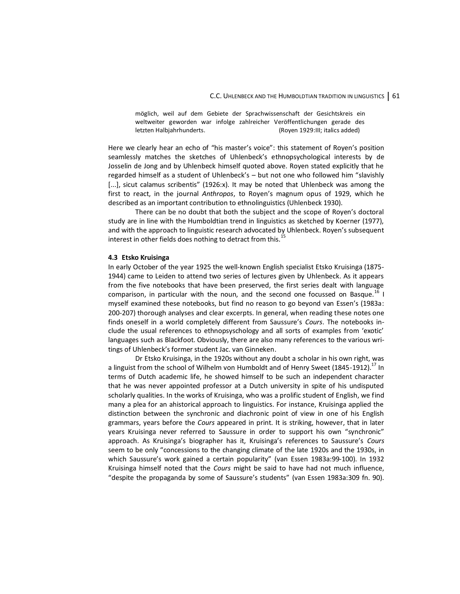möglich, weil auf dem Gebiete der Sprachwissenschaft der Gesichtskreis ein weltweiter geworden war infolge zahlreicher Veröffentlichungen gerade des letzten Halbjahrhunderts. (Royen 1929:III; italics added)

Here we clearly hear an echo of "his master's voice": this statement of Royen's position seamlessly matches the sketches of Uhlenbeck's ethnopsychological interests by de Josselin de Jong and by Uhlenbeck himself quoted above. Royen stated explicitly that he regarded himself as a student of Uhlenbeck's – but not one who followed him "slavishly  $[...]$ , sicut calamus scribentis" (1926:x). It may be noted that Uhlenbeck was among the first to react, in the journal *Anthropos*, to Royen's magnum opus of 1929, which he described as an important contribution to ethnolinguistics (Uhlenbeck 1930).

There can be no doubt that both the subject and the scope of Royen's doctoral study are in line with the Humboldtian trend in linguistics as sketched by Koerner (1977), and with the approach to linguistic research advocated by Uhlenbeck. Royen's subsequent interest in other fields does nothing to detract from this.<sup>15</sup>

#### **4.3 Etsko Kruisinga**

In early October of the year 1925 the well-known English specialist Etsko Kruisinga (1875- 1944) came to Leiden to attend two series of lectures given by Uhlenbeck. As it appears from the five notebooks that have been preserved, the first series dealt with language comparison, in particular with the noun, and the second one focussed on Basque.<sup>16</sup> I myself examined these notebooks, but find no reason to go beyond van Essen's (1983a: 200-207) thorough analyses and clear excerpts. In general, when reading these notes one finds oneself in a world completely different from Saussure's *Cours*. The notebooks include the usual references to ethnopsyschology and all sorts of examples from 'exotic' languages such as Blackfoot. Obviously, there are also many references to the various writings of Uhlenbeck's former student Jac. van Ginneken.

Dr Etsko Kruisinga, in the 1920s without any doubt a scholar in his own right, was a linguist from the school of Wilhelm von Humboldt and of Henry Sweet (1845-1912).<sup>17</sup> In terms of Dutch academic life, he showed himself to be such an independent character that he was never appointed professor at a Dutch university in spite of his undisputed scholarly qualities. In the works of Kruisinga, who was a prolific student of English, we find many a plea for an ahistorical approach to linguistics. For instance, Kruisinga applied the distinction between the synchronic and diachronic point of view in one of his English grammars, years before the *Cours* appeared in print. It is striking, however, that in later years Kruisinga never referred to Saussure in order to support his own "synchronic" approach. As Kruisinga's biographer has it, Kruisinga's references to Saussure's *Cours* seem to be only "concessions to the changing climate of the late 1920s and the 1930s, in which Saussure's work gained a certain popularity" (van Essen 1983a:99-100). In 1932 Kruisinga himself noted that the *Cours* might be said to have had not much influence, "despite the propaganda by some of Saussure's students" (van Essen 1983a:309 fn. 90).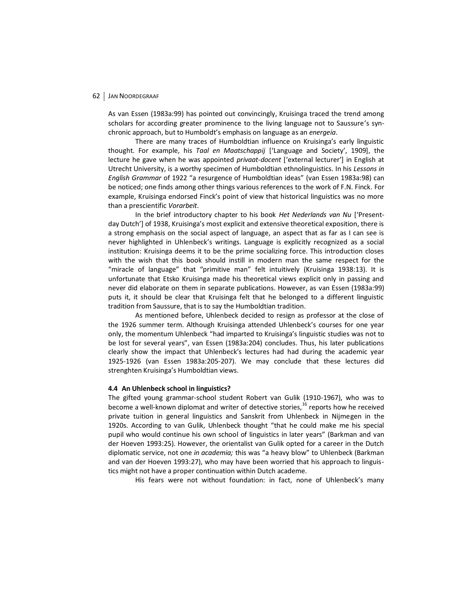As van Essen (1983a:99) has pointed out convincingly, Kruisinga traced the trend among scholars for according greater prominence to the living language not to Saussure's synchronic approach, but to Humboldt's emphasis on language as an *energeia*.

There are many traces of Humboldtian influence on Kruisinga's early linguistic thought. For example, his *Taal en Maatschappij* ['Language and Society', 1909], the lecture he gave when he was appointed *privaat-docent* ['external lecturer'] in English at Utrecht University, is a worthy specimen of Humboldtian ethnolinguistics. In his *Lessons in English Grammar* of 1922 "a resurgence of Humboldtian ideas" (van Essen 1983a:98) can be noticed; one finds among other things various references to the work of F.N. Finck. For example, Kruisinga endorsed Finck's point of view that historical linguistics was no more than a prescientific *Vorarbeit*.

In the brief introductory chapter to his book *Het Nederlands van Nu* ['Presentday Dutch'] of 1938, Kruisinga's most explicit and extensive theoretical exposition, there is a strong emphasis on the social aspect of language, an aspect that as far as I can see is never highlighted in Uhlenbeck's writings. Language is explicitly recognized as a social institution: Kruisinga deems it to be the prime socializing force. This introduction closes with the wish that this book should instill in modern man the same respect for the "miracle of language" that "primitive man" felt intuitively (Kruisinga 1938:13). It is unfortunate that Etsko Kruisinga made his theoretical views explicit only in passing and never did elaborate on them in separate publications. However, as van Essen (1983a:99) puts it, it should be clear that Kruisinga felt that he belonged to a different linguistic tradition from Saussure, that is to say the Humboldtian tradition.

As mentioned before, Uhlenbeck decided to resign as professor at the close of the 1926 summer term. Although Kruisinga attended Uhlenbeck's courses for one year only, the momentum Uhlenbeck "had imparted to Kruisinga's linguistic studies was not to be lost for several years", van Essen (1983a:204) concludes. Thus, his later publications clearly show the impact that Uhlenbeck's lectures had had during the academic year 1925-1926 (van Essen 1983a:205-207). We may conclude that these lectures did strenghten Kruisinga's Humboldtian views.

### **4.4 An Uhlenbeck school in linguistics?**

The gifted young grammar-school student Robert van Gulik (1910-1967), who was to become a well-known diplomat and writer of detective stories,  $^{16}$  reports how he received private tuition in general linguistics and Sanskrit from Uhlenbeck in Nijmegen in the 1920s. According to van Gulik, Uhlenbeck thought "that he could make me his special pupil who would continue his own school of linguistics in later years" (Barkman and van der Hoeven 1993:25). However, the orientalist van Gulik opted for a career in the Dutch diplomatic service, not one *in academia;* this was "a heavy blow" to Uhlenbeck (Barkman and van der Hoeven 1993:27), who may have been worried that his approach to linguistics might not have a proper continuation within Dutch academe.

His fears were not without foundation: in fact, none of Uhlenbeck's many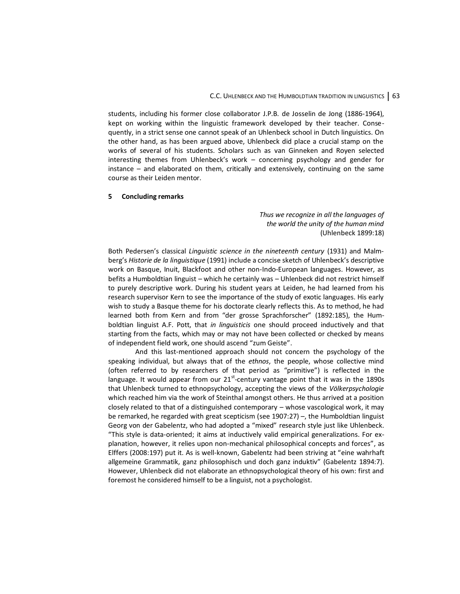students, including his former close collaborator J.P.B. de Josselin de Jong (1886-1964), kept on working within the linguistic framework developed by their teacher. Consequently, in a strict sense one cannot speak of an Uhlenbeck school in Dutch linguistics. On the other hand, as has been argued above, Uhlenbeck did place a crucial stamp on the works of several of his students. Scholars such as van Ginneken and Royen selected interesting themes from Uhlenbeck's work – concerning psychology and gender for instance – and elaborated on them, critically and extensively, continuing on the same course as their Leiden mentor.

#### **5 Concluding remarks**

*Thus we recognize in all the languages of the world the unity of the human mind* (Uhlenbeck 1899:18)

Both Pedersen's classical *Linguistic science in the nineteenth century* (1931) and Malmberg's *Historie de la linguistique* (1991) include a concise sketch of Uhlenbeck's descriptive work on Basque, Inuit, Blackfoot and other non-Indo-European languages. However, as befits a Humboldtian linguist – which he certainly was – Uhlenbeck did not restrict himself to purely descriptive work. During his student years at Leiden, he had learned from his research supervisor Kern to see the importance of the study of exotic languages. His early wish to study a Basque theme for his doctorate clearly reflects this. As to method, he had learned both from Kern and from "der grosse Sprachforscher" (1892:185), the Humboldtian linguist A.F. Pott, that *in linguisticis* one should proceed inductively and that starting from the facts, which may or may not have been collected or checked by means of independent field work, one should ascend "zum Geiste".

And this last-mentioned approach should not concern the psychology of the speaking individual, but always that of the *ethnos*, the people, whose collective mind (often referred to by researchers of that period as "primitive") is reflected in the language. It would appear from our  $21^{st}$ -century vantage point that it was in the 1890s that Uhlenbeck turned to ethnopsychology, accepting the views of the *Völkerpsychologie* which reached him via the work of Steinthal amongst others. He thus arrived at a position closely related to that of a distinguished contemporary – whose vascological work, it may be remarked, he regarded with great scepticism (see 1907:27) –, the Humboldtian linguist Georg von der Gabelentz, who had adopted a "mixed" research style just like Uhlenbeck. "This style is data-oriented; it aims at inductively valid empirical generalizations. For explanation, however, it relies upon non-mechanical philosophical concepts and forces", as Elffers (2008:197) put it. As is well-known, Gabelentz had been striving at "eine wahrhaft allgemeine Grammatik, ganz philosophisch und doch ganz induktiv" (Gabelentz 1894:7). However, Uhlenbeck did not elaborate an ethnopsychological theory of his own: first and foremost he considered himself to be a linguist, not a psychologist.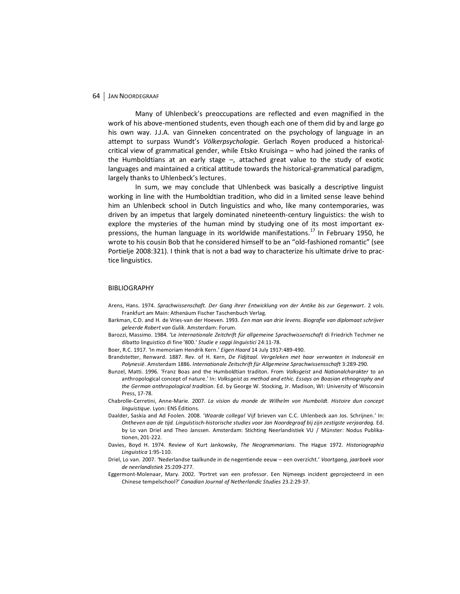Many of Uhlenbeck's preoccupations are reflected and even magnified in the work of his above-mentioned students, even though each one of them did by and large go his own way. J.J.A. van Ginneken concentrated on the psychology of language in an attempt to surpass Wundt's *Völkerpsychologie*. Gerlach Royen produced a historicalcritical view of grammatical gender, while Etsko Kruisinga – who had joined the ranks of the Humboldtians at an early stage –, attached great value to the study of exotic languages and maintained a critical attitude towards the historical-grammatical paradigm, largely thanks to Uhlenbeck's lectures.

In sum, we may conclude that Uhlenbeck was basically a descriptive linguist working in line with the Humboldtian tradition, who did in a limited sense leave behind him an Uhlenbeck school in Dutch linguistics and who, like many contemporaries, was driven by an impetus that largely dominated nineteenth-century linguistics: the wish to explore the mysteries of the human mind by studying one of its most important expressions, the human language in its worldwide manifestations.<sup>17</sup> In February 1950, he wrote to his cousin Bob that he considered himself to be an "old-fashioned romantic" (see Portielje 2008:321). I think that is not a bad way to characterize his ultimate drive to practice linguistics.

#### BIBLIOGRAPHY

- Arens, Hans. 1974. *Sprachwissenschaft. Der Gang ihrer Entwicklung von der Antike bis zur Gegenwart*. 2 vols. Frankfurt am Main: Athenäum Fischer Taschenbuch Verlag.
- Barkman, C.D. and H. de Vries-van der Hoeven. 1993. *Een man van drie levens. Biografie van diplomaat schrijver geleerde Robert van Gulik*. Amsterdam: Forum.
- Barozzi, Massimo. 1984. 'Le *Internationale Zeitchrift für allgemeine Sprachwissenschaft* di Friedrich Techmer ne dibatto linguistico di fine '800.' *Studie e saggi linguistici* 24:11-78.
- Boer, R.C. 1917. 'In memoriam Hendrik Kern.' *Eigen Haard* 14 July 1917:489-490.
- Brandstetter, Renward. 1887. Rev. of H. Kern, *De Fidjitaal. Vergeleken met haar verwanten in Indonesië en Polynesië*. Amsterdam 1886. *Internationale Zeitschrift für Allgemeine Sprachwissensschaft* 3:289-290.
- Bunzel, Matti. 1996. 'Franz Boas and the Humboldtian traditon. From *Volksgeist* and *Nationalcharakter* to an anthropological concept of nature.' In: *Volksgeist as method and ethic. Essays on Boasian ethnography and the German anthropological tradition*. Ed. by George W. Stocking, Jr. Madison, WI: University of Wisconsin Press, 17-78.
- Chabrolle-Cerretini, Anne-Marie. 2007. *La vision du monde de Wilhelm von Humboldt. Histoire dun concept linguistique*. Lyon: ENS Éditions.
- Daalder, Saskia and Ad Foolen. 2008. '*Waarde collega!* Vijf brieven van C.C. Uhlenbeck aan Jos. Schrijnen.' In: *Ontheven aan de tijd. Linguïstisch-historische studies voor Jan Noordegraaf bij zijn zestigste verjaardag.* Ed. by Lo van Driel and Theo Janssen. Amsterdam: Stichting Neerlandistiek VU / Münster: Nodus Publikationen, 201-222.
- Davies, Boyd H. 1974. Review of Kurt Jankowsky, *The Neogrammarians*. The Hague 1972. *Historiographia Linguistica* 1:95-110.
- Driel, Lo van. 2007. 'Nederlandse taalkunde in de negentiende eeuw een overzicht.' *Voortgang, jaarboek voor de neerlandistiek* 25:209-277.
- Eggermont-Molenaar, Mary. 2002. 'Portret van een professor. Een Nijmeegs incident geprojecteerd in een Chinese tempelschool?' *Canadian Journal of Netherlandic Studies* 23.2:29-37.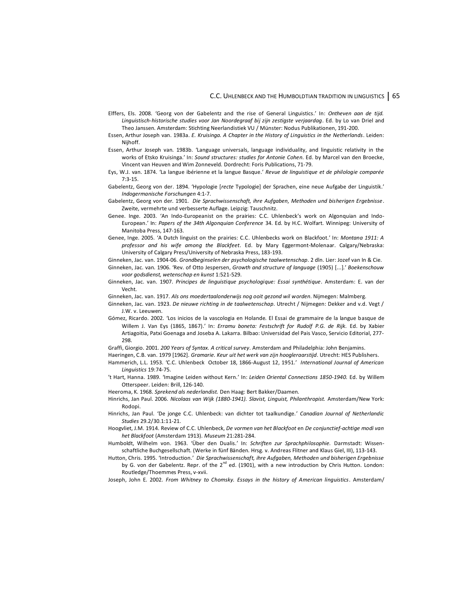- Elffers, Els. 2008. 'Georg von der Gabelentz and the rise of General Linguistics.' In: *Ontheven aan de tijd. Linguistisch-historische studies voor Jan Noordegraaf bij zijn zestigste verjaardag*. Ed. by Lo van Driel and Theo Janssen. Amsterdam: Stichting Neerlandistiek VU / Münster: Nodus Publikationen, 191-200.
- Essen, Arthur Joseph van. 1983a. *E. Kruisinga. A Chapter in the History of Linguistics in the Netherlands*. Leiden: Nijhoff.
- Essen, Arthur Joseph van. 1983b. 'Language universals, language individuality, and linguistic relativity in the works of Etsko Kruisinga.' In: *Sound structures: studies for Antonie Cohen*. Ed. by Marcel van den Broecke, Vincent van Heuven and Wim Zonneveld. Dordrecht: Foris Publications, 71-79.
- Eys, W.J. van. 1874. 'La langue ibérienne et la langue Basque.' *Revue de linguistique et de philologie comparée*  7:3-15.
- Gabelentz, Georg von der. 1894. 'Hypologie [*recte* Typologie] der Sprachen, eine neue Aufgabe der Linguistik.' *Indogermanische Forschungen* 4:1-7.
- Gabelentz, Georg von der. 1901. *Die Sprachwissenschaft, ihre Aufgaben, Methoden und bisherigen Ergebnisse*. Zweite, vermehrte und verbesserte Auflage. Leipzig: Tauschnitz.
- Genee. Inge. 2003. 'An Indo-Europeanist on the prairies: C.C. Uhlenbeck's work on Algonquian and Indo-European.' In: *Papers of the 34th Algonquian Conference* 34. Ed. by H.C. Wolfart. Winnipeg: University of Manitoba Press, 147-163.
- Genee, Inge. 2005. 'A Dutch linguist on the prairies: C.C. Uhlenbecks work on Blackfoot.' In: *Montana 1911: A professor and his wife among the Blackfeet*. Ed. by Mary Eggermont-Molenaar. Calgary/Nebraska: University of Calgary Press/University of Nebraska Press, 183-193.
- Ginneken, Jac. van. 1904-06. *Grondbeginselen der psychologische taalwetenschap*. 2 dln. Lier: Jozef van In & Cie.
- Ginneken, Jac. van. 1906. 'Rev. of Otto Jespersen, *Growth and structure of language* (1905) [...].' *Boekenschouw voor godsdienst, wetenschap en kunst* 1:521-529.
- Ginneken, Jac. van. 1907. *Principes de linguistique psychologique: Essai synthétique*. Amsterdam: E. van der Vecht.
- Ginneken, Jac. van. 1917. *Als ons moedertaalonderwijs nog ooit gezond wil worden*. Nijmegen: Malmberg.
- Ginneken, Jac. van. 1923. *De nieuwe richting in de taalwetenschap*. Utrecht / Nijmegen: Dekker and v.d. Vegt / J.W. v. Leeuwen.
- Gómez, Ricardo. 2002. 'Los inicios de la vascologia en Holande. El Essai de grammaire de la langue basque de Willem J. Van Eys (1865, 1867).' In: *Erramu boneta: Festschrift for Rudolf P.G. de Rijk.* Ed. by Xabier Artiagoitia, Patxi Goenaga and Joseba A. Lakarra. Bilbao: Universidad del Pais Vasco, Servicio Editorial, 277- 298.
- Graffi, Giorgio. 2001. *200 Years of Syntax. A critical survey*. Amsterdam and Philadelphia: John Benjamins.
- Haeringen, C.B. van. 1979 [1962]. *Gramarie. Keur uit het werk van zijn hoogleraarstijd*. Utrecht: HES Publishers. Hammerich, L.L. 1953. 'C.C. Uhlenbeck October 18, 1866-August 12, 1951.' *International Journal of American Linguistics* 19:74-75.
- 't Hart, Hanna. 1989. 'Imagine Leiden without Kern.' In: *Leiden Oriental Connections 1850-1940.* Ed. by Willem Otterspeer. Leiden: Brill, 126-140.
- Heeroma, K. 1968. *Sprekend als nederlandist.* Den Haag: Bert Bakker/Daamen.
- Hinrichs, Jan Paul. 2006. *Nicolaas van Wijk (1880-1941). Slavist, Linguist, Philanthropist.* Amsterdam/New York: Rodopi.
- Hinrichs, Jan Paul. 'De jonge C.C. Uhlenbeck: van dichter tot taalkundige.' *Canadian Journal of Netherlandic Studies* 29.2/30.1:11-21.
- Hoogvliet, J.M. 1914. Review of C.C. Uhlenbeck, *De vormen van het Blackfoot* en *De conjunctief-achtige modi van het Blackfoot* (Amsterdam 1913). *Museum* 21:281-284.
- Humboldt, Wilhelm von. 1963. 'Über den Dualis.' In: *Schriften zur Sprachphilosophie.* Darmstadt: Wissenschaftliche Buchgesellschaft. (Werke in fünf Bänden. Hrsg. v. Andreas Flitner and Klaus Giel, III), 113-143.
- Hutton, Chris. 1995. 'Introduction.' *Die Sprachwissenschaft, ihre Aufgaben, Methoden und bisherigen Ergebnisse* by G. von der Gabelentz. Repr. of the  $2^{nd}$  ed. (1901), with a new introduction by Chris Hutton. London: Routledge/Thoemmes Press, v-xvii.
- Joseph, John E. 2002. *From Whitney to Chomsky. Essays in the history of American linguistics*. Amsterdam/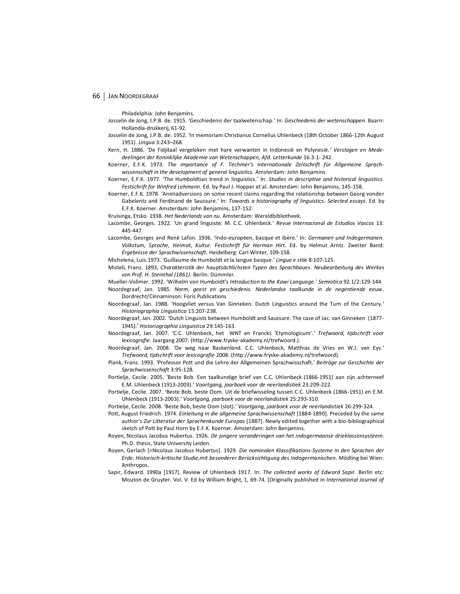Philadelphia: John Benjamins.

- Josselin de Jong, J.P.B. de. 1915. 'Geschiedenis der taalwetenschap.' In: *Geschiedenis der wetenschappen*. Baarn: Hollandia-drukkerij, 61-92.
- Josselin de Jong, J.P.B. de. 1952. 'In memoriam Christianus Cornelius Uhlenbeck (18th October 1866-12th August 1951). *Lingua* 3:243–268.
- Kern, H. 1886. 'De Fidjitaal vergeleken met hare verwanten in Indonesië en Polynesië*.' Verslagen en Mededeelingen der Koninklijke Akademie van Wetenschappen, Afd. Letterkunde* 16.3:1- 242.
- Koerner, E.F.K. 1973. *The importance of F. Techmer's Internationale Zeitschrift für Allgemeine Sprachwissenschaft in the development of general linguistics.* Amsterdam: John Benjamins.
- Koerner, E.F.K. 1977. 'The Humboldtian trend in linguistics.' In: *Studies in descriptive and historical linguistics. Festschrift for Winfred Lehmann.* Ed. by Paul J. Hopper et al. Amsterdam: John Benjamins, 145-158.
- Koerner, E.F.K. 1978. 'Animadversions on some recent claims regarding the relationship between Georg vonder Gabelentz and Ferdinand de Saussure.' In: *Towards a historiography of linguistics. Selected essays*. Ed. by E.F.K. Koerner. Amsterdam: John Benjamins, 137-152.
- Kruisinga, Etsko. 1938. *Het Nederlands van nu*. Amsterdam: Wereldbibliotheek.
- Lacombe, Georges. 1922. 'Un grand linguiste: M. C.C. Uhlenbeck.' *Revue Internacional de Estudios Vascos* 13: 445-447.
- Lacombe, Georges and René Lafon. 1936. 'Indo-européen, basque et ibère.' In: *Germanen und Indogermanen. Volkstum, Sprache, Heimat, Kultur. Festschrift für Herman Hirt*. Ed. by Helmut Arntz. Zweiter Band: *Ergebnisse der Sprachwissenschaft*. Heidelberg: Carl Winter, 109-158.
- Michelena, Luis.1973. 'Guillaume de Humboldt et la langue basque.' *Lingua e stile* 8:107-125.
- Misteli, Franz. 1893, *Charakteristik der hauptsächlichsten Typen des Sprachbaues. Neubearbeitung des Werkes von Prof. H. Steinthal (1861)*. Berlin: Dümmler.
- Mueller-Vollmer. 1992. 'Wilhelm von Humboldt's *Introduction to the Kawi Language*.' *Semiotica* 92.1/2:129-144.
- Noordegraaf, Jan. 1985. *Norm, geest en geschiedenis. Nederlandse taalkunde in de negentiende eeuw*. Dordrecht/Cinnaminson: Foris Publications
- Noordegraaf, Jan. 1988. 'Hoogvliet versus Van Ginneken. Dutch Linguistics around the Turn of the Century.' *Historiographia Linguistica* 15:207-238.
- Noordegraaf, Jan. 2002. 'Dutch Linguists between Humboldt and Saussure. The case of Jac. van Ginneken (1877- 1945).' *Historiographia Linguistica* 29:145-163.
- Noordegraaf, Jan. 2007. 'C.C. Uhlenbeck, het WNT en Francks 'Etymologicum'.' *Trefwoord, tijdschrift voor lexicografie*. Jaargang 2007. (http://www.fryske-akademy.nl/trefwoord.).
- Noordegraaf, Jan. 2008. 'De weg naar Baskenland. C.C. Uhlenbeck, Matthias de Vries en W.J. van Eys.' *Trefwoord, tijdschrift voor lexicografie* 2008. (http://www.fryske-akademy.nl/trefwoord)*.*
- Plank, Frans. 1993. 'Professor Pott und die Lehre der Allgemeinen Sprachwisschaft.' *Beiträge zur Geschichte der Sprachwissenschaft* 3:95-128.
- Portielje, Cecile. 2005. 'Beste Bob. Een taalkundige brief van C.C. Uhlenbeck (1866-1951) aan zijn achterneef E.M. Uhlenbeck (1913-2003).' *Voortgang, jaarboek voor de neerlandistiek* 23:209-222.
- Portielje, Cecile. 2007. 'Beste Bob, beste Oom. Uit de briefwisseling tussen C.C. Uhlenbeck (1866-1951) en E.M. Uhlenbeck (1913-2003).' *Voortgang, jaarboek voor de neerlandistiek* 25:293-310.
- Portielje, Cecile. 2008. 'Beste Bob, beste Oom (slot).' *Voortgang, jaarboek voor de neerlandistiek* 26:299-324.
- Pott, August Friedrich. 1974. *Einleitung in die allgemeine Sprachwissenschaft* [1884-1890]. Preceded by the same author's *Zur Litteratur der Sprachenkunde Europas* [1887]. Newly edited together with a bio-bibliographical sketch of Pott by Paul Horn by E.F.K. Koerner. Amsterdam: John Benjamins.
- Royen, Nicolaus Jacobus Hubertus. 1926. *De jongere veranderingen van het indogermaanse drieklassensysteem*. Ph.D. thesis, State University Leiden.
- Royen, Gerlach [=Nicolaus Jacobus Hubertus]. 1929. *Die nominalen Klassifikations-Systeme in den Sprachen der Erde. Historisch-kritische Studie,mit besonderer Berücksichtigung des Indogermanischen*. Mödling bei Wien: Anthropos.
- Sapir, Edward. 1990a [1917]. Review of Uhlenbeck 1917. In: *The collected works of Edward Sapir.* Berlin etc: Mouton de Gruyter. Vol. V. Ed by William Bright, 1, 69-74. [Originally published in *International Journal of*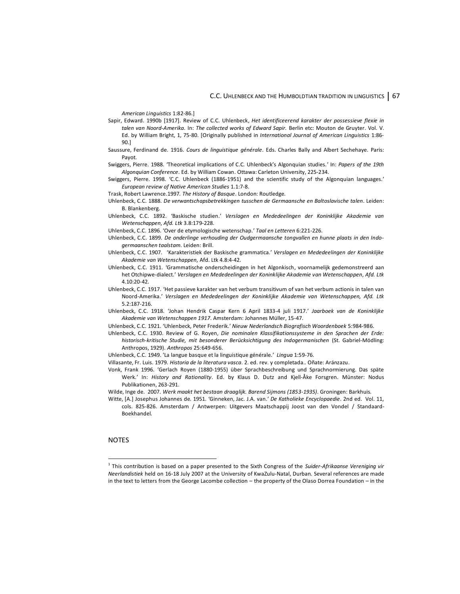*American Linguistics* 1:82-86.]

- Sapir, Edward. 1990b [1917]. Review of C.C. Uhlenbeck, *Het identificeerend karakter der possessieve flexie in talen van Noord-Amerika*. In: *The collected works of Edward Sapir.* Berlin etc: Mouton de Gruyter. Vol. V. Ed. by William Bright, 1, 75-80. [Originally published in *International Journal of American Linguistics* 1:86- 90.]
- Saussure, Ferdinand de. 1916. *Cours de linguistique générale*. Eds. Charles Bally and Albert Sechehaye. Paris: Payot.
- Swiggers, Pierre. 1988. 'Theoretical implications of C.C. Uhlenbeck's Algonquian studies.' In: *Papers of the 19th Algonquian Conference*. Ed. by William Cowan. Ottawa: Carleton University, 225-234.
- Swiggers, Pierre. 1998. 'C.C. Uhlenbeck (1886-1951) and the scientific study of the Algonquian languages.' *European review of Native American Studies* 1.1:7-8.
- Trask, Robert Lawrence.1997*. The History of Basque*. London: Routledge.
- Uhlenbeck, C.C. 1888. *De verwantschapsbetrekkingen tusschen de Germaansche en Baltoslavische talen*. Leiden: B. Blankenberg.
- Uhlenbeck, C.C. 1892. 'Baskische studien.' *Verslagen en Mededeelingen der Koninklijke Akademie van Wetenschappen, Afd. Ltk* 3.8:179-228.
- Uhlenbeck, C.C. 1896. 'Over de etymologische wetenschap.' *Taal en Letteren* 6:221-226.
- Uhlenbeck, C.C. 1899. *De onderlinge verhouding der Oudgermaansche tongvallen en hunne plaats in den Indogermaanschen taalstam*. Leiden: Brill.
- Uhlenbeck, C.C. 1907. 'Karakteristiek der Baskische grammatica.' *Verslagen en Mededeelingen der Koninklijke Akademie van Wetenschappen,* Afd. Ltk 4.8:4-42.
- Uhlenbeck, C.C. 1911. 'Grammatische onderscheidingen in het Algonkisch, voornamelijk gedemonstreerd aan het Otchipwe-dialect.' *Verslagen en Mededeelingen der Koninklijke Akademie van Wetenschappen*, *Afd. Ltk* 4.10:20-42.
- Uhlenbeck, C.C. 1917. 'Het passieve karakter van het verbum transitivum of van het verbum actionis in talen van Noord-Amerika.' *Verslagen en Mededeelingen der Koninklijke Akademie van Wetenschappen, Afd. Ltk*  5.2:187-216.
- Uhlenbeck, C.C. 1918. 'Johan Hendrik Caspar Kern 6 April 1833-4 juli 1917.' *Jaarboek van de Koninklijke Akademie van Wetenschappen 1917*. Amsterdam: Johannes Müller, 15-47.
- Uhlenbeck, C.C. 1921. 'Uhlenbeck, Peter Frederik.' *Nieuw Nederlandsch Biografisch Woordenboek* 5:984-986.
- Uhlenbeck, C.C. 1930. Review of G. Royen, *Die nominalen Klassifikationssysteme in den Sprachen der Erde: historisch-kritische Studie, mit besonderer Berücksichtigung des Indogermanischen* (St. Gabriel-Mödling: Anthropos, 1929). *Anthropos* 25:649-656.
- Uhlenbeck, C.C. 1949. 'La langue basque et la linguistique générale.' *Lingua* 1:59-76.
- Villasante, Fr. Luis. 1979. *Historia de la literatura vasca*. 2. ed. rev. y completada.. Oñate: Aránzazu.
- Vonk, Frank 1996. 'Gerlach Royen (1880-1955) über Sprachbeschreibung und Sprachnormierung. Das späte Werk.' In: *History and Rationality*. Ed. by Klaus D. Dutz and Kjell-Åke Forsgren. Münster: Nodus Publikationen, 263-291.
- Wilde, Inge de. 2007. *Werk maakt het bestaan draaglijk. Barend Sijmons (1853-1935)*. Groningen: Barkhuis.
- Witte, [A.] Josephus Johannes de. 1951. 'Ginneken, Jac. J.A. van.' *De Katholieke Encyclopaedie*. 2nd ed. Vol. 11, cols. 825-826. Amsterdam / Antwerpen: Uitgevers Maatschappij Joost van den Vondel / Standaard-Boekhandel.

#### NOTES

<sup>1</sup> This contribution is based on a paper presented to the Sixth Congress of the *Suider-Afrikaanse Vereniging vir Neerlandistiek* held on 16-18 July 2007 at the University of KwaZulu-Natal, Durban. Several references are made in the text to letters from the George Lacombe collection – the property of the Olaso Dorrea Foundation – in the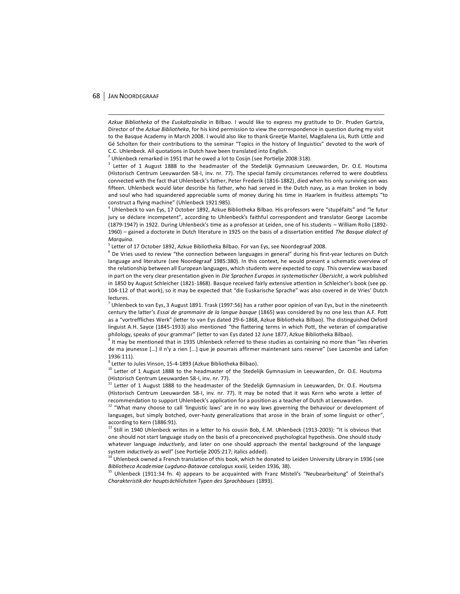$\overline{a}$ 

*Azkue Bibliotheka* of the *Euskaltzaindia* in Bilbao. I would like to express my gratitude to Dr. Pruden Gartzia, Director of the *Azkue Bibliotheka*, for his kind permission to view the correspondence in question during my visit to the Basque Academy in March 2008. I would also like to thank Greetje Mantel, Magdalena Lis, Ruth Little and Gé Scholten for their contributions to the seminar "Topics in the history of linguistics" devoted to the work of C.C. Uhlenbeck. All quotations in Dutch have been translated into English.

<sup>2</sup> Uhlenbeck remarked in 1951 that he owed a lot to Cosijn (see Portielje 2008:318).

<sup>3</sup> Letter of 1 August 1888 to the headmaster of the Stedelijk Gymnasium Leeuwarden, Dr. O.E. Houtsma (Historisch Centrum Leeuwarden 58-I, inv. nr. 77). The special family circumstances referred to were doubtless connected with the fact that Uhlenbeck's father, Peter Frederik (1816-1882), died when his only surviving son was fifteen. Uhlenbeck would later describe his father, who had served in the Dutch navy, as a man broken in body and soul who had squandered appreciable sums of money during his time in Haarlem in fruitless attempts "to construct a flying machine" (Uhlenbeck 1921:985).

4 Uhlenbeck to van Eys, 17 October 1892, Azkue Bibliotheka Bilbao. His professors were "stupéfaits" and "le futur jury se déclare incompetent", according to Uhlenbeck's faithful correspondent and translator George Lacombe (1879-1947) in 1922. During Uhlenbeck's time as a professor at Leiden, one of his students – William Rollo (1892- 1960) – gained a doctorate in Dutch literature in 1925 on the basis of a dissertation entitled *The Basque dialect of Marquina*.

<sup>5</sup> Letter of 17 October 1892, Azkue Bibliotheka Bilbao. For van Eys, see Noordegraaf 2008.

<sup>6</sup> De Vries used to review "the connection between languages in general" during his first-year lectures on Dutch language and literature (see Noordegraaf 1985:380). In this context, he would present a schematic overview of the relationship between all European languages, which students were expected to copy. This overview was based in part on the very clear presentation given in *Die Sprachen Europas in systematischer Übersicht*, a work published in 1850 by August Schleicher (1821-1868). Basque received fairly extensive attention in Schleicher's book (see pp. 104-112 of that work), so it may be expected that "die Euskarische Sprache" was also covered in de Vries' Dutch lectures.

 $^7$  Uhlenbeck to van Eys, 3 August 1891. Trask (1997:56) has a rather poor opinion of van Eys, but in the nineteenth century the latter's *Essai de grammaire de la langue basque* (1865) was considered by no one less than A.F. Pott as a "vortreffliches Werk" (letter to van Eys dated 29-6-1868, Azkue Bibliotheka Bilbao). The distinguished Oxford linguist A.H. Sayce (1845-1933) also mentioned "the flattering terms in which Pott, the veteran of comparative philology, speaks of your grammar" (letter to van Eys dated 12 June 1877, Azkue Bibliotheka Bilbao).

<sup>8</sup> It may be mentioned that in 1935 Uhlenbeck referred to these studies as containing no more than "les rêveries de ma jeunesse [...] il n'y a rien [...] que je pourrais affirmer maintenant sans reserve" (see Lacombe and Lafon 1936:111).

<sup>9</sup> Letter to Jules Vinson, 15-4-1893 (Azkue Bibliotheka Bilbao).

<sup>10</sup> Letter of 1 August 1888 to the headmaster of the Stedelijk Gymnasium in Leeuwarden, Dr. O.E. Houtsma (Historisch Centrum Leeuwarden 58-I, inv. nr. 77).

<sup>11</sup> Letter of 1 August 1888 to the headmaster of the Stedelijk Gymnasium in Leeuwarden, Dr. O.E. Houtsma (Historisch Centrum Leeuwarden 58-I, inv. nr. 77). It may be noted that it was Kern who wrote a letter of recommendation to support Uhlenbeck's application for a position as a teacher of Dutch at Leeuwarden.<br><sup>12</sup> "What many choose to call 'linguistic laws' are in no way laws governing the behaviour or development of

languages, but simply botched, over-hasty generalizations that arose in the brain of some linguist or other", according to Kern (1886:91).

<sup>13</sup> Still in 1940 Uhlenbeck writes in a letter to his cousin Bob, E.M. Uhlenbeck (1913-2003): "It is obvious that one should not start language study on the basis of a preconceived psychological hypothesis. One should study whatever language *inductively*, and later on one should approach the mental background of the language system *inductively* as well" (see Portielje 2005:217; italics added).

 $14$  Uhlenbeck owned a French translation of this book, which he donated to Leiden University Library in 1936 (see *Bibliotheca Academiae Lugduno-Batavae catalogus xxxiii,* Leiden 1936, 38).

<sup>15</sup> Uhlenbeck (1911:34 fn. 4) appears to be acquainted with Franz Misteli's "Neubearbeitung" of Steinthal's *Charakteristik der hauptsächlichsten Typen des Sprachbaues* (1893).